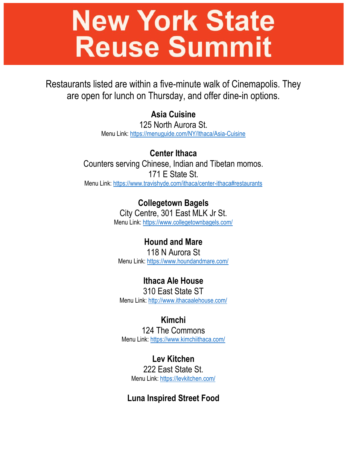# **New York State Reuse Summit**

Restaurants listed are within a five-minute walk of Cinemapolis. They are open for lunch on Thursday, and offer dine-in options.

**Asia Cuisine**

125 North Aurora St. Menu Link: https://menuguide.com/NY/Ithaca/Asia-Cuisine

**Center Ithaca** Counters serving Chinese, Indian and Tibetan momos. 171 E State St. Menu Link: https://www.travishyde.com/ithaca/center-ithaca#restaurants

> **Collegetown Bagels** City Centre, 301 East MLK Jr St. Menu Link: https://www.collegetownbagels.com/

**Hound and Mare** 118 N Aurora St Menu Link: https://www.houndandmare.com/

**Ithaca Ale House** 310 East State ST Menu Link: http://www.ithacaalehouse.com/

**Kimchi** 124 The Commons Menu Link: https://www.kimchiithaca.com/

**Lev Kitchen** 222 East State St. Menu Link: https://levkitchen.com/

**Luna Inspired Street Food**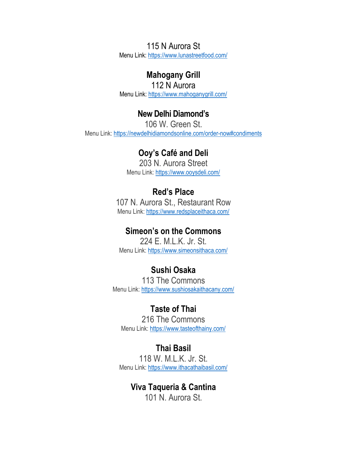115 N Aurora St Menu Link:<https://www.lunastreetfood.com/>

#### **Mahogany Grill**

112 N Aurora Menu Link:<https://www.mahoganygrill.com/>

#### **New Delhi Diamond's**

106 W. Green St. Menu Link:<https://newdelhidiamondsonline.com/order-now#condiments>

### **Ooy's Café and Deli**

203 N. Aurora Street Menu Link:<https://www.ooysdeli.com/>

## **Red's Place**

107 N. Aurora St., Restaurant Row Menu Link:<https://www.redsplaceithaca.com/>

#### **Simeon's on the Commons**

224 E. M.L.K. Jr. St. Menu Link:<https://www.simeonsithaca.com/>

## **Sushi Osaka**

113 The Commons Menu Link:<https://www.sushiosakaithacany.com/>

## **Taste of Thai**

216 The Commons Menu Link:<https://www.tasteofthainy.com/>

**Thai Basil** 118 W. M.L.K. Jr. St. Menu Link:<https://www.ithacathaibasil.com/>

#### **Viva Taqueria & Cantina** 101 N. Aurora St.